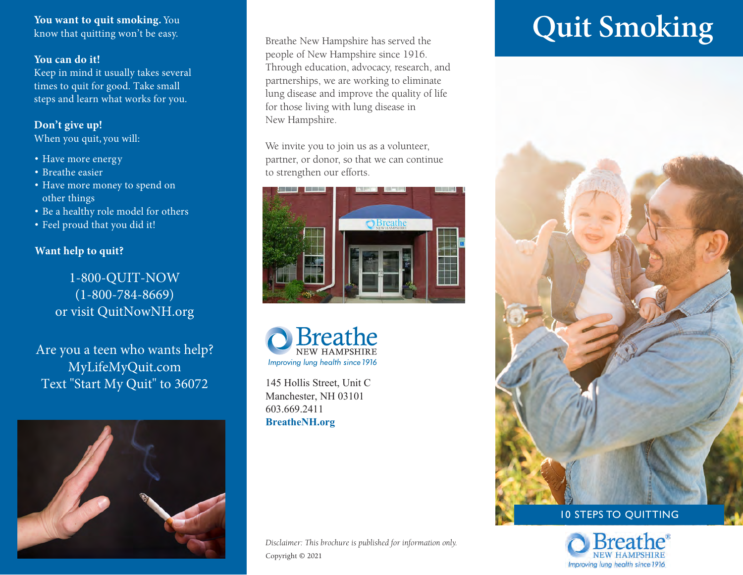You want to quit smoking. You know that quitting won't be easy.

#### **You can do it!**

Keep in mind it usually takes several times to quit for good. Take small steps and learn what works for you.

#### **Don't give up!**

When you quit, you will:

- Have more energy
- Breathe easier
- Have more money to spend on other things
- Be a healthy role model for others
- Feel proud that you did it!

#### **Want help to quit?**

1-800-QUIT-NOW (1-800-784-8669) or visit QuitNowNH.org

Are you a teen who wants help? MyLifeMyQuit.com Text "Start My Quit" to 36072



Breathe New Hampshire has served the people of New Hampshire since 1916. Through education, advocacy, research, and partnerships, we are working to eliminate lung disease and improve the quality of life for those living with lung disease in New Hampshire.

We invite you to join us as a volunteer, partner, or donor, so that we can continue to strengthen our efforts.





145 Hollis Street, Unit C Manchester, NH 03101 603.669.2411 **BreatheNH.org**

#### *Disclaimer: This brochure is published for information only.* Copyright © 2021

# **Quit Smoking**



# 10 STEPS TO QUITTING